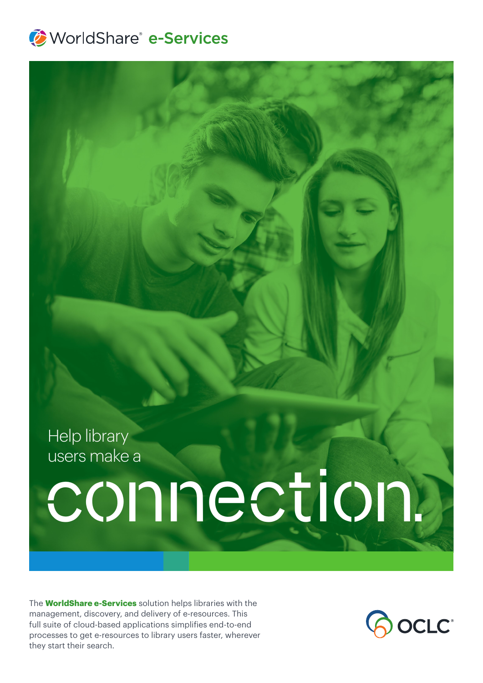

Help library users make a

# connection.

The **WorldShare e-Services** solution helps libraries with the management, discovery, and delivery of e-resources. This full suite of cloud-based applications simplifies end-to-end processes to get e-resources to library users faster, wherever they start their search.

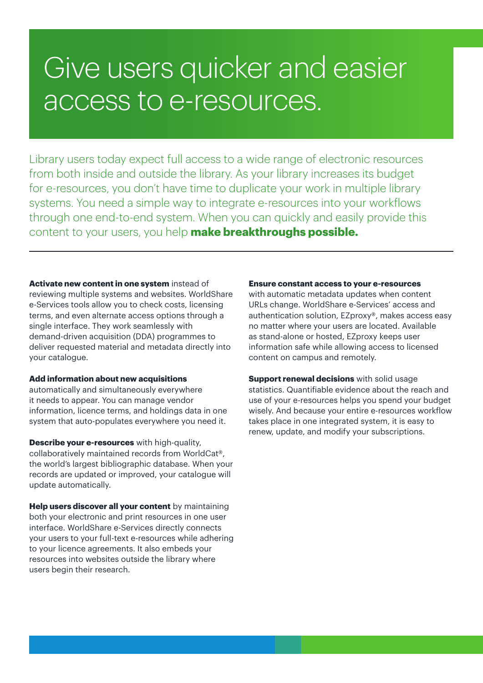## Give users quicker and easier access to e-resources.

Library users today expect full access to a wide range of electronic resources from both inside and outside the library. As your library increases its budget for e-resources, you don't have time to duplicate your work in multiple library systems. You need a simple way to integrate e-resources into your workflows through one end-to-end system. When you can quickly and easily provide this content to your users, you help **make breakthroughs possible.**

**Activate new content in one system** instead of reviewing multiple systems and websites. WorldShare e-Services tools allow you to check costs, licensing terms, and even alternate access options through a single interface. They work seamlessly with demand-driven acquisition (DDA) programmes to deliver requested material and metadata directly into your catalogue.

#### **Add information about new acquisitions**

automatically and simultaneously everywhere it needs to appear. You can manage vendor information, licence terms, and holdings data in one system that auto-populates everywhere you need it.

**Describe your e-resources** with high-quality, collaboratively maintained records from WorldCat®, the world's largest bibliographic database. When your records are updated or improved, your catalogue will update automatically.

**Help users discover all your content** by maintaining both your electronic and print resources in one user interface. WorldShare e-Services directly connects your users to your full-text e-resources while adhering to your licence agreements. It also embeds your resources into websites outside the library where users begin their research.

#### **Ensure constant access to your e-resources**

with automatic metadata updates when content URLs change. WorldShare e-Services' access and authentication solution, EZproxy®, makes access easy no matter where your users are located. Available as stand-alone or hosted, EZproxy keeps user information safe while allowing access to licensed content on campus and remotely.

**Support renewal decisions** with solid usage statistics. Quantifiable evidence about the reach and use of your e-resources helps you spend your budget wisely. And because your entire e-resources workflow takes place in one integrated system, it is easy to renew, update, and modify your subscriptions.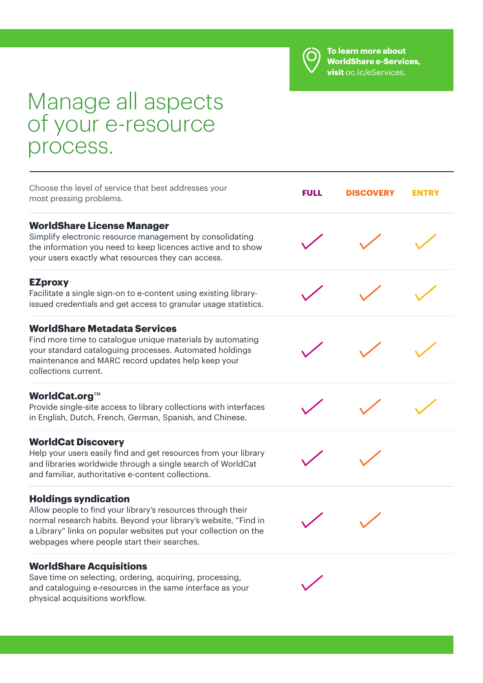

**To learn more about WorldShare e-Services, visit** [oc.lc/eServices.](http://oc.lc/eServices)

## Manage all aspects of your e-resource process.

| Choose the level of service that best addresses your<br>most pressing problems.                                                                                                                                                                                                 | <b>FULL</b> | <b>DISCOVERY</b> | ENTRY |
|---------------------------------------------------------------------------------------------------------------------------------------------------------------------------------------------------------------------------------------------------------------------------------|-------------|------------------|-------|
| <b>WorldShare License Manager</b><br>Simplify electronic resource management by consolidating<br>the information you need to keep licences active and to show<br>your users exactly what resources they can access.                                                             |             |                  |       |
| <b>EZproxy</b><br>Facilitate a single sign-on to e-content using existing library-<br>issued credentials and get access to granular usage statistics.                                                                                                                           |             |                  |       |
| <b>WorldShare Metadata Services</b><br>Find more time to catalogue unique materials by automating<br>your standard cataloguing processes. Automated holdings<br>maintenance and MARC record updates help keep your<br>collections current.                                      |             |                  |       |
| WorldCat.org™<br>Provide single-site access to library collections with interfaces<br>in English, Dutch, French, German, Spanish, and Chinese.                                                                                                                                  |             |                  |       |
| <b>WorldCat Discovery</b><br>Help your users easily find and get resources from your library<br>and libraries worldwide through a single search of WorldCat<br>and familiar, authoritative e-content collections.                                                               |             |                  |       |
| <b>Holdings syndication</b><br>Allow people to find your library's resources through their<br>normal research habits. Beyond your library's website, "Find in<br>a Library" links on popular websites put your collection on the<br>webpages where people start their searches. |             |                  |       |
| <b>WorldShare Acquisitions</b><br>Save time on selecting, ordering, acquiring, processing,<br>and cataloguing e-resources in the same interface as your<br>physical acquisitions workflow.                                                                                      |             |                  |       |